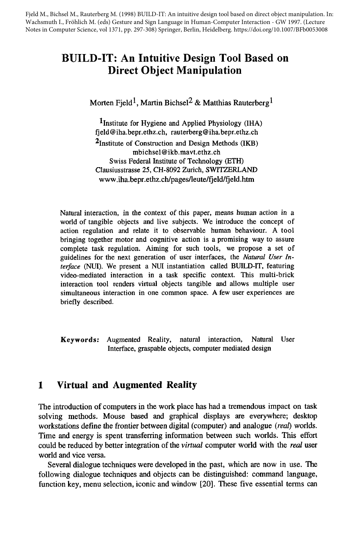Fjeld M., Bichsel M., Rauterberg M. (1998) BUILD-IT: An intuitive design tool based on direct object manipulation. In: Wachsmuth I., Fröhlich M. (eds) Gesture and Sign Language in Human-Computer Interaction - GW 1997. (Lecture Notes in Computer Science, vol 1371, pp. 297-308) Springer, Berlin, Heidelberg. https://doi.org/10.1007/BFb0053008

# **BUILD-IT: An Intuitive Design Tool Based on Direct Object Manipulation**

Morten Field<sup>1</sup>, Martin Bichsel<sup>2</sup> & Matthias Rauterberg<sup>1</sup>

 $1$ Institute for Hygiene and Applied Physiology (IHA) fjeld@iha.bepr.ethz.ch, rauterberg@iha.bepr.ethz.ch 2Institute of Construction and Design Methods (IKB) mbichsel@ikb.mavt.ethz.ch Swiss Federal Institute of Technology (ETH) Clausiusstrasse 25, CH-8092 Zurich, SWITZERLAND www.iha.bepr.ethz.ch/pages/leute/fjeld/fjeld.htm

Natural interaction, in the context of this paper, means human action in a world of tangible objects and live subjects. We introduce the concept of action regulation and relate it to observable human behaviour. A tool bringing together motor and cognitive action is a promising way to assure complete task regulation. Aiming for such tools, we propose a set of guidelines for the next generation of user interfaces, the *Natural User Interface* (NUI). We present a NUI instantiation called BUILD-IT, featuring video-mediated interaction in a task specific context. This multi-brick interaction tool renders virtual objects tangible and allows multiple user simultaneous interaction in one common space. A few user experiences are briefly described.

**Keywords:** Augmented Reality, natural interaction, Natural User Interface, graspable objects, computer mediated design

# **1 Virtual and Augmented Reality**

The introduction of computers in the work place has had a tremendous impact on task solving methods. Mouse based and graphical displays are everywhere; desktop workstations define the frontier between digital (computer) and analogue *(real)* worlds. Time and energy is spent transferring information between such worlds. This effort could be reduced by better integration of the *virtual* computer world with the *real* user world and vice versa.

Several dialogue techniques were developed in the past, which are now in use. The following dialogue techniques and objects can be distinguished: command language, function key, menu selection, iconic and window [20]. These five essential terms can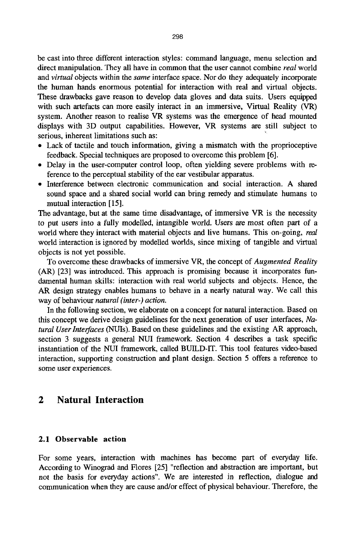be cast into three different interaction styles: command language, menu selection and direct manipulation. They all have in common that the user cannot combine *real* world and *virtual* objects within the *same* interface space. Nor do they adequately incorporate the human hands enormous potential for interaction with real and virtual objects. These drawbacks gave reason to develop data gloves and data suits. Users equipped with such artefacts can more easily interact in an immersive, Virtual Reality (VR) system. Another reason to realise VR systems was the emergence of head mounted displays with 3D output capabilities. However, VR systems are still subject to serious, inherent limitations such as:

- Lack of tactile and touch information, giving a mismatch with the proprioceptive feedback. Special techniques are proposed to overcome this problem [6].
- Delay in the user-computer control loop, often yielding severe problems with reference to the perceptual stability of the ear vestibular apparatus.
- 9 Interference between electronic communication and social interaction. A shared sound space and a shared social world can bring remedy and stimulate humans to mutual interaction [ 15].

The advantage, but at the same time disadvantage, of immersive VR is the necessity to put users into a fully modelled, intangible world. Users are most often part of a world where they interact with material objects and live humans. This on-going, real world interaction is ignored by modelled worlds, since mixing of tangible and virtual objects is not yet possible.

To overcome these drawbacks of immersive VR, the concept of *Augmented Reality*  (AR) [23] was introduced. This approach is promising because it incorporates fundamental human skills: interaction with real world subjects and objects. Hence, the AR design strategy enables humans to behave in a nearly natural way. We call this way of behaviour *natural (inter-) action.* 

In the following section, we elaborate on a concept for natural interaction. Based on this concept we derive design guidelines for the next generation of user interfaces, *Natural Userlnterfaces* (NUIs). Based on these guidelines and the existing AR approach, section 3 suggests a general NUI framework. Section 4 describes a task specific instantiation of the NUI framework, called BUILD-IT. This tool features video-based interaction, supporting construction and plant design. Section 5 offers a reference to some user experiences.

### **2 Natural Interaction**

#### **2.1 Observable action**

For some years, interaction with machines has become part of everyday life. According to Winograd and Flores [25] "reflection and abstraction are important, but **not** the basis for everyday actions". We are interested in reflection, dialogue and communication when they are cause and/or effect of physical behaviour. Therefore, the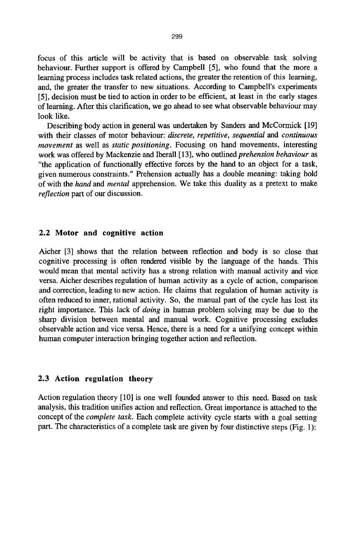focus of this article will be activity that is based on observable task solving behaviour. Further support is offered by Campbell [5], who found that the more a learning process includes task related actions, the greater the retention of this learning, and, the greater the transfer to new situations. According to Campbell's experiments [5], decision must be tied to action in order to be efficient, at least in the early stages of learning. After this clarification, we go ahead to see what observable behaviour may look like.

Describing body action in general was undertaken by Sanders and McCormick [19] with their classes of motor behaviour: *discrete, repetitive, sequential and continuous movement* as well as *static positioning.* Focusing on hand movements, interesting work was offered by Mackenzie and Iberall [13], who outlined *prehension behaviour as*  "the application of functionally effective forces by the hand to an object for a task, given numerous constraints." Prehension actually has a double meaning: taking hold of with the *hand* and *mental* apprehension. We take this duality as a pretext to make *reflection* part of our discussion.

#### **2.2 Motor and cognitive action**

Aicher [3] shows that the relation between reflection and body is so close that cognitive processing is often rendered visible by the language of the hands. This would mean that mental activity has a strong relation with manual activity and vice versa. Aicher describes regulation of human activity as a cycle of action, comparison and correction, leading to new action. He claims that regulation of human activity is often reduced to inner, rational activity. So, the manual part of the cycle has lost its right importance. This lack of *doing* in human problem solving may be due to the sharp division between mental and manual work. Cognitive processing excludes observable action and vice versa. Hence, there is a need for a unifying concept within human computer interaction bringing together action and reflection.

#### **2.3 Action regulation theory**

Action regulation theory [10] is one well founded answer to this need. Based on task analysis, this tradition unifies action and reflection. Great importance is attached to the concept of the *complete task.* Each complete activity cycle starts with a goal setting part. The characteristics of a complete task are given by four distinctive steps (Fig. 1):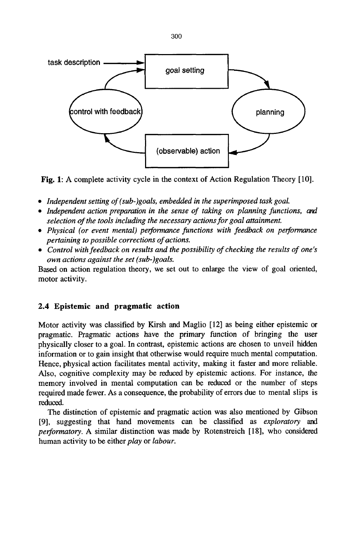

Fig. 1: A complete activity cycle in the context of Action Regulation Theory [10].

- *9 Independent setting of(sub-)goals, embedded in the superimposed task goal.*
- Independent action preparation in the sense of taking on planning functions, and *selection of the tools including the necessary actions for goal attainment.*
- *9 Physical (or event mental) performance functions with feedback on performance pertaining to possible corrections of actions.*
- *9 Control with feedback on results and the possibility of checking the results of one's own actions against the set (sub-)goals.*

Based on action regulation theory, we set out to enlarge the view of goal oriented, motor activity.

#### **2.4 Epistemic and pragmatic action**

Motor activity was classified by Kirsh and Maglio [12] as being either epistemic or pragmatic. Pragmatic actions have the primary function of bringing the user physically closer to a goal. In contrast, epistemic actions are chosen to unveil hidden information or to gain insight that otherwise would require much mental computation. Hence, physical action facilitates mental activity, making it faster and more reliable. Also, cognitive complexity may be reduced by epistemic actions. For instance, the memory involved in mental computation can be reduced or the number of steps required made fewer. As a consequence, the probability of errors due to mental slips is reduced.

The distinction of epistemic and pragmatic action was also mentioned by Gibson [9], suggesting that hand movements can be classified as *exploratory and performatory.* A similar distinction was made by Rotenstreich [18], who considered human activity to be either *play* or *labour.*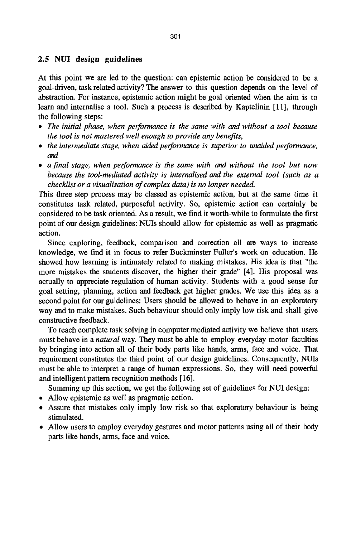#### **2.5 NUI design guidelines**

At this point we are led to the question: can epistemic action be considered to be a goal-driven, task related activity? The answer to this question depends on the level of abstraction. For instance, epistemic action might be goal oriented when the aim is to learn and internalise a tool. Such a process is described by Kaptelinin [11], through the following steps:

- *9 The initial phase, when performance is the same with and without a tool because the tool is not mastered well enough to provide any benefits,*
- *9 the intermediate stage, when aided performance is superior to unaided performance, and*
- *9 a final stage, when performance is the same with and without the tool but now because the tool-mediated activity is internalised and the external tool (such as a checklist or a visualisation of complex data) is no longer needed.*

This three step process may be classed as epistemic action, but at the same time it constitutes task related, purposeful activity. So, epistemic action can certainly be considered to be task oriented. As a result, we find it worth-while to formulate the first point of our design guidelines: NUIs should allow for epistemic as well as pragmatic action.

Since exploring, feedback, comparison and correction all are ways to increase knowledge, we find it in focus to refer Buckminster Fuller's work on education. He showed how learning is intimately related to making mistakes. His idea is that "the more mistakes the students discover, the higher their grade" [4]. His proposal was actually to appreciate regulation of human activity. Students with a good sense for goal setting, planning, action and feedback get higher grades. We use this idea as a second point for our guidelines: Users should be allowed to behave in an exploratory way and to make mistakes. Such behaviour should only imply low risk and shall give constructive feedback.

To reach complete task solving in computer mediated activity we believe that users must behave in a *natural* way. They must be able to employ everyday motor faculties by bringing into action all of their body parts like hands, arms, face and voice. That requirement constitutes the third point of our design guidelines. Consequently, NUIs must be able to interpret a range of human expressions. So, they will need powerful and intelligent pattern recognition methods [ 16].

Summing up this section, we get the following set of guidelines for NUI design:

- 9 Allow epistemic as well as pragmatic action.
- Assure that mistakes only imply low risk so that exploratory behaviour is being stimulated.
- 9 Allow users to employ everyday gestures and motor patterns using all of their body parts like hands, arms, face and voice.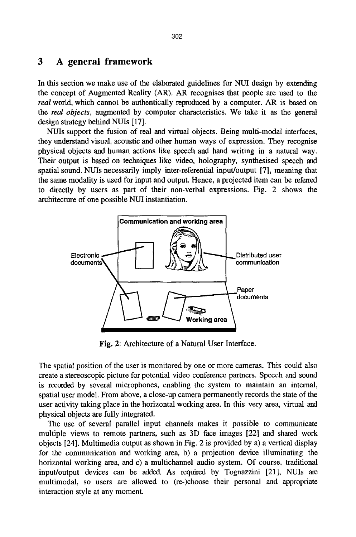## **3 A general framework**

In this section we make use of the elaborated guidelines for NUI design by extending the concept of Augmented Reality (AR). AR recognises that people are used to the *real* world, which cannot be authentically reproduced by a computer. AR is based on **the** *real objects,* augmented by computer characteristics. We take it as the general design strategy behind NUIs [17].

NUIs support the fusion of real and virtual objects. Being multi-modal interfaces, they understand visual, acoustic and other human ways of expression. They recognise physical objects and human actions like speech and hand writing in a natural way. Their output is based on techniques like video, holography, synthesised speech and spatial sound. NUIs necessarily imply inter-referential input/output [7], meaning that the same modality is used for input and output. Hence, a projected item can be referred to directly by users as part of their non-verbal expressions. Fig. 2 shows the architecture of one possible NUI instantiation.



Fig. 2: Architecture of a Natural User Interface.

The spatial position of the user is monitored by one or more cameras. This could also create a stereoscopic picture for potential video conference partners. Speech and sound is recorded by several microphones, enabling the system to maintain an internal, spatial user model. From above, a close-up camera permanently records the state of the user activity taking place in the horizontal working area. In this very area, virtual and physical objects are fully integrated.

The use of several parallel input channels makes it possible to communicate multiple views to remote partners, such as 3D face images [22] and shared work objects [24]. Multimedia output as shown in Fig. 2 is provided by a) a vertical display for the communication and working area, b) a projection device illuminating the horizontal working area, and c) a multichannel audio system. Of course, traditional input/output devices can be added. As required by Tognazzini [21], NUIs are multimodal, so users are allowed to (re-)choose their personal and appropriate interaction style at any moment.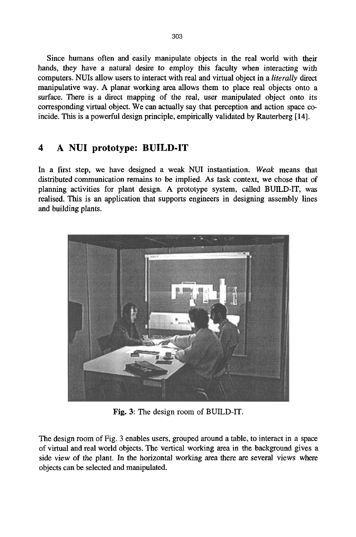Since humans often and easily manipulate objects in the real world with their hands, they have a natural desire to employ this faculty when interacting with computers. NUIs allow users to interact with real and virtual object in a *literally direct*  manipulative way. A planar working area allows them to place real objects onto a surface. There is a direct mapping of the real, user manipulated object onto its corresponding virtual object. We can actually say that perception and action space coincide. This is a powerful design principle, empirically validated by Rauterberg [14].

# **4 A NUI prototype: BUILD-IT**

In a first step, we have designed a weak NUI instantiation. *Weak* means that distributed communication remains to be implied. As task context, we chose that of planning activities for plant design. A prototype system, called BUILD-IT, was realised. This is an application that supports engineers in designing assembly lines and building plants.



Fig. 3: The design room of BUILD-IT.

The design room of Fig. 3 enables users, grouped around a table, to interact in a space of virtual and real world objects. The vertical working area in the background gives a side view of the plant. In the horizontal working area there are several views where objects can be selected and manipulated.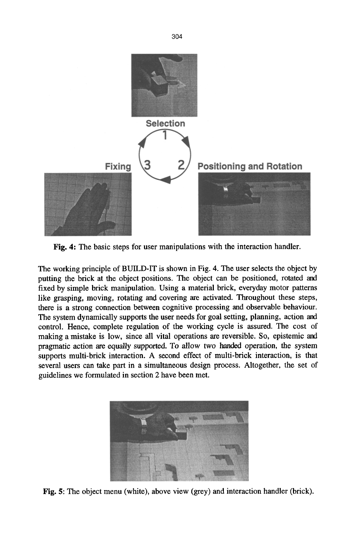

Fig. 4: The basic steps for user manipulations with the interaction handler.

The working principle of BUILD-IT is shown in Fig. 4. The user selects the object by putting the brick at the object positions. The object can be positioned, rotated and fixed by simple brick manipulation. Using a material brick, everyday motor patterns like grasping, moving, rotating and covering are activated. Throughout these steps, there is a strong connection between cognitive processing and observable behaviour. The system dynamically supports the user needs for goal setting, planning, action and control. Hence, complete regulation of the working cycle is assured. The cost of making a mistake is low, since all vital operations are reversible. So, epistemic and pragmatic action are equally supported. To allow two handed operation, the system supports multi-brick interaction. A second effect of multi-brick interaction, is that several users can take part in a simultaneous design process. Altogether, the set of guidelines we formulated in section 2 have been met.



Fig. 5: The object menu (white), above view (grey) and interaction handler (brick).

304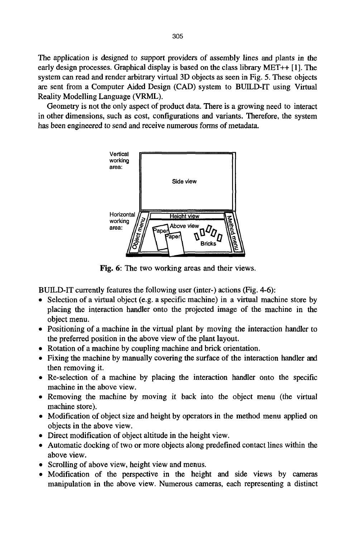The application is designed to support providers of assembly lines and plants in the early design processes. Graphical display is based on the class library MET++ [1]. The system can read and render arbitrary virtual 3D objects as seen in Fig. 5. These objects are sent from a Computer Aided Design (CAD) system to BUILD-IT using Virtual Reality Modelling Language (VRML).

Geometry is not the only aspect of product data. There is a growing need to interact in other dimensions, such as cost, configurations and variants. Therefore, the system has been engineered to send and receive numerous forms of metadata.



Fig. 6: The two working areas and their views.

BUILD-IT currently features the following user (inter-) actions (Fig. 4-6):

- Selection of a virtual object (e.g. a specific machine) in a virtual machine store by placing the interaction handler onto the projected image of the machine in the object menu.
- Positioning of a machine in the virtual plant by moving the interaction handler to the preferred position in the above view of the plant layout.
- Rotation of a machine by coupling machine and brick orientation.
- 9 Fixing the machine by manually covering the surface of the interaction handler and then removing it.
- **<sup>9</sup>**Re-selection of a machine by placing the interaction handler onto the specific machine in the above view.
- Removing the machine by moving it back into the object menu (the virtual machine store).
- Modification of object size and height by operators in the method menu applied on objects in the above view.
- Direct modification of object altitude in the height view.
- 9 Automatic docking of two or more objects along predefined contact lines within the above view.
- Scrolling of above view, height view and menus.
- 9 Modification of the perspective in the height and side views by cameras manipulation in the above view. Numerous cameras, each representing a distinct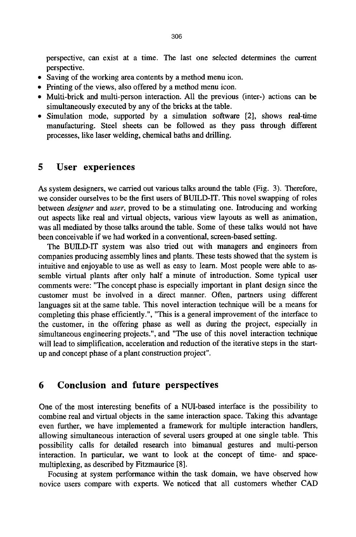perspective, can exist at a time. The last one selected determines the current perspective.

- Saving of the working area contents by a method menu icon.
- Printing of the views, also offered by a method menu icon.
- 9 Multi-brick and multi-person interaction. All the previous (inter-) actions can be simultaneously executed by any of the bricks at the table.
- Simulation mode, supported by a simulation software [2], shows real-time manufacturing. Steel sheets can be followed as they pass through different processes, like laser welding, chemical baths and drilling.

# **5 User experiences**

As system designers, we carried out various talks around the table (Fig. 3). Therefore, we consider ourselves to be the first users of BUILD-IT. This novel swapping of roles between *designer and user,* proved to be a stimulating one. Introducing and working out aspects like real and virtual objects, various view layouts as well as animation, was all mediated by those talks around the table. Some of these talks would not have been conceivable if we had worked in a conventional, screen-based setting.

The BUILD-IT system was also tried out with managers and engineers from companies producing assembly lines and plants. These tests showed that the system is intuitive and enjoyable to use as well as easy to learn. Most people were able to assemble virtual plants after only half a minute of introduction. Some typical user comments were: "The concept phase is especially important in plant design since the customer must be involved in a direct manner. Often, partners using different languages sit at the same table. This novel interaction technique will be a means for completing this phase efficiently.", "This is a general improvement of the interface to the customer, in the offering phase as well as during the project, especially in simultaneous engineering projects.", and "The use of this novel interaction technique will lead to simplification, acceleration and reduction of the iterative steps in the startup and concept phase of a plant construction project".

## **6 Conclusion and future perspectives**

One of the most interesting benefits of a NUI-based interface is the possibility to combine real and virtual objects in the same interaction space. Taking this advantage even further, we have implemented a framework for multiple interaction handlers, allowing simultaneous interaction of several users grouped at one single table. This possibility calls for detailed research into bimanual gestures and multi-person interaction. In particular, we want to look at the concept of time- and spacemultiplexing, as described by Fitzmaurice [8].

Focusing at system performance within the task domain, we have observed how novice users compare with experts. We noticed that all customers whether CAD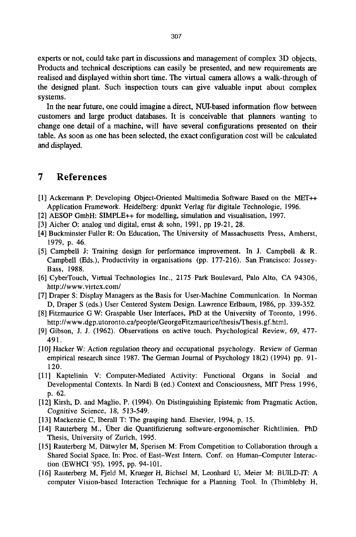experts or not, could take part in discussions and management of complex 3D objects. Products and technical descriptions can easily be presented, and new requirements are realised and displayed within short time. The virtual camera allows a walk-through of the designed plant. Such inspection tours can give valuable input about complex systems.

In the near future, one could imagine a direct, NUI-based information flow between customers and large product databases. It is conceivable that planners wanting to change one detail of a machine, will have several configurations presented on their table. As soon as one has been selected, the exact configuration cost will be calculated and displayed.

# **7 References**

- [1] Ackermann P: Developing Object-Oriented Multimedia Software Based on the MET++ Application Framework. Heidelberg: dpunkt Verlag für digitale Technologie, 1996.
- [2] AESOP GmbH: SIMPLE++ for modelling, simulation and visualisation, 1997.
- [3] Aicher O: analog und digital, ernst & sohn, 1991, pp 19-21, 28.
- [4] Buckminster Fuller R: On Education, The University of Massachusetts Press, Amherst, 1979, p. 46.
- [5] Campbell J: Training design for performance improvement. In J. Campbell & R. Campbell (Eds.), Productivity in organisations (pp. 177-216). San Francisco: Jossey-Bass, 1988.
- [6] CyberTouch, Virtual Technologies Inc., 2175 Park Boulevard, Palo Alto, CA 94306, http://www, virtex.com/
- [7] Draper S: Display Managers as the Basis for User-Machine Communication. In Norman D, Draper S (eds.) User Centered System Design. Lawrence Erlbaum, 1986, pp. 339-352.
- [8] Fitzmaurice G W: Graspable User Interfaces, PhD at the University of Toronto, 1996. *http:llwww.dgp.utoronto.calpeoplelGeorgeFitzmaurieelthesislThesis.gf.html.*
- [9] Gibson, J. J. (1962). Observations on active touch. Psychological Review, 69, 477- 491.
- [10] Hacker W: *Action* regulation theory and occupational psychology. Review of German empirical research since 1987. The German Journal of Psychology 18(2) (1994) pp. 91- 120.
- [11] Kaptelinin V: Computer-Mediated Activity: Functional Organs in Social and Developmental Contexts. In Nardi B (ed.) Context and Consciousness, M1T Press 1996, p. 62.
- [12] Kirsh, D. and Maglio, P. (1994). On Distinguishing Epistemic from Pragmatic Action, Cognitive Science, 18, 513-549.
- [13] Mackenzie C, Iberall T: The grasping hand. Elsevier, 1994, p. 15.
- [14] Rauterberg M., Ober die Quantifizierung software-ergonomischer Richtlinien. PhD Thesis, University of Zurich, 1995.
- [15] Rauterberg M, Dätwyler M, Sperisen M: From Competition to Collaboration through a Shared Social Space. In: Proc. of East-West Intern. Conf. on Human-Computer Interaction (EWHCI '95), 1995, pp. 94-101.
- [16] Rauterberg M, Fjeld M, Krueger H, Bichse] M, Leonhard U, Meier M: BUILD-IT: A computer Vision-based Interaction Technique for a Planning Tool. In (Thimbleby H,